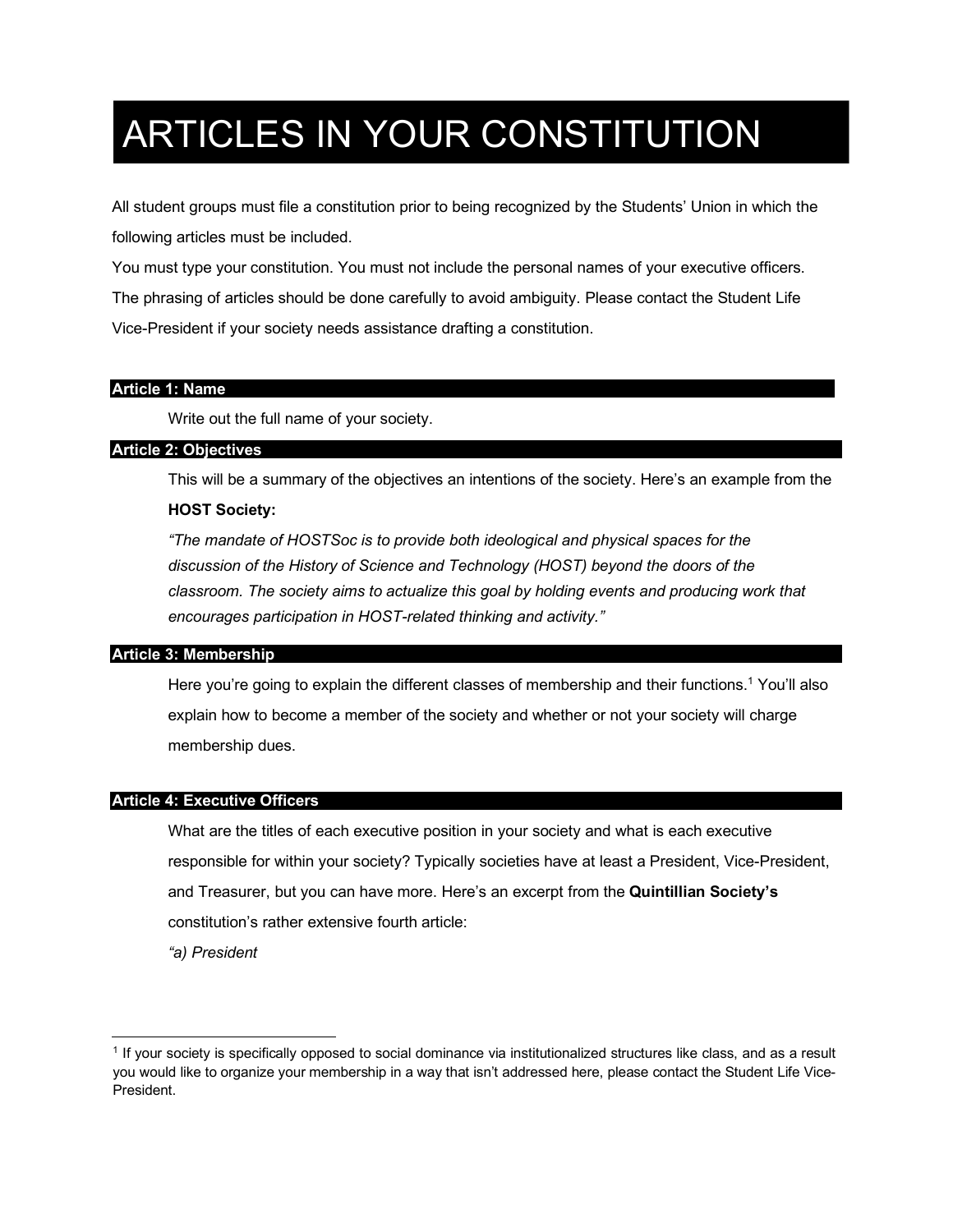# ARTICLES IN YOUR CONSTITUTION

All student groups must file a constitution prior to being recognized by the Students' Union in which the following articles must be included.

You must type your constitution. You must not include the personal names of your executive officers. The phrasing of articles should be done carefully to avoid ambiguity. Please contact the Student Life Vice-President if your society needs assistance drafting a constitution.

# **Article 1: Name**

Write out the full name of your society.

# **Article 2: Objectives**

This will be a summary of the objectives an intentions of the society. Here's an example from the

# **HOST Society:**

*"The mandate of HOSTSoc is to provide both ideological and physical spaces for the discussion of the History of Science and Technology (HOST) beyond the doors of the*  classroom. The society aims to actualize this goal by holding events and producing work that *encourages participation in HOST-related thinking and activity."*

#### **Article 3: Membership**

Here you're going to explain the different classes of membership and their functions.<sup>1</sup> You'll also explain how to become a member of the society and whether or not your society will charge membership dues.

#### **Article 4: Executive Officers**

What are the titles of each executive position in your society and what is each executive responsible for within your society? Typically societies have at least a President, Vice-President, and Treasurer, but you can have more. Here's an excerpt from the **Quintillian Society's** constitution's rather extensive fourth article:

*"a) President*

 $\overline{a}$ 

<sup>1</sup> If your society is specifically opposed to social dominance via institutionalized structures like class, and as a result you would like to organize your membership in a way that isn't addressed here, please contact the Student Life Vice-President.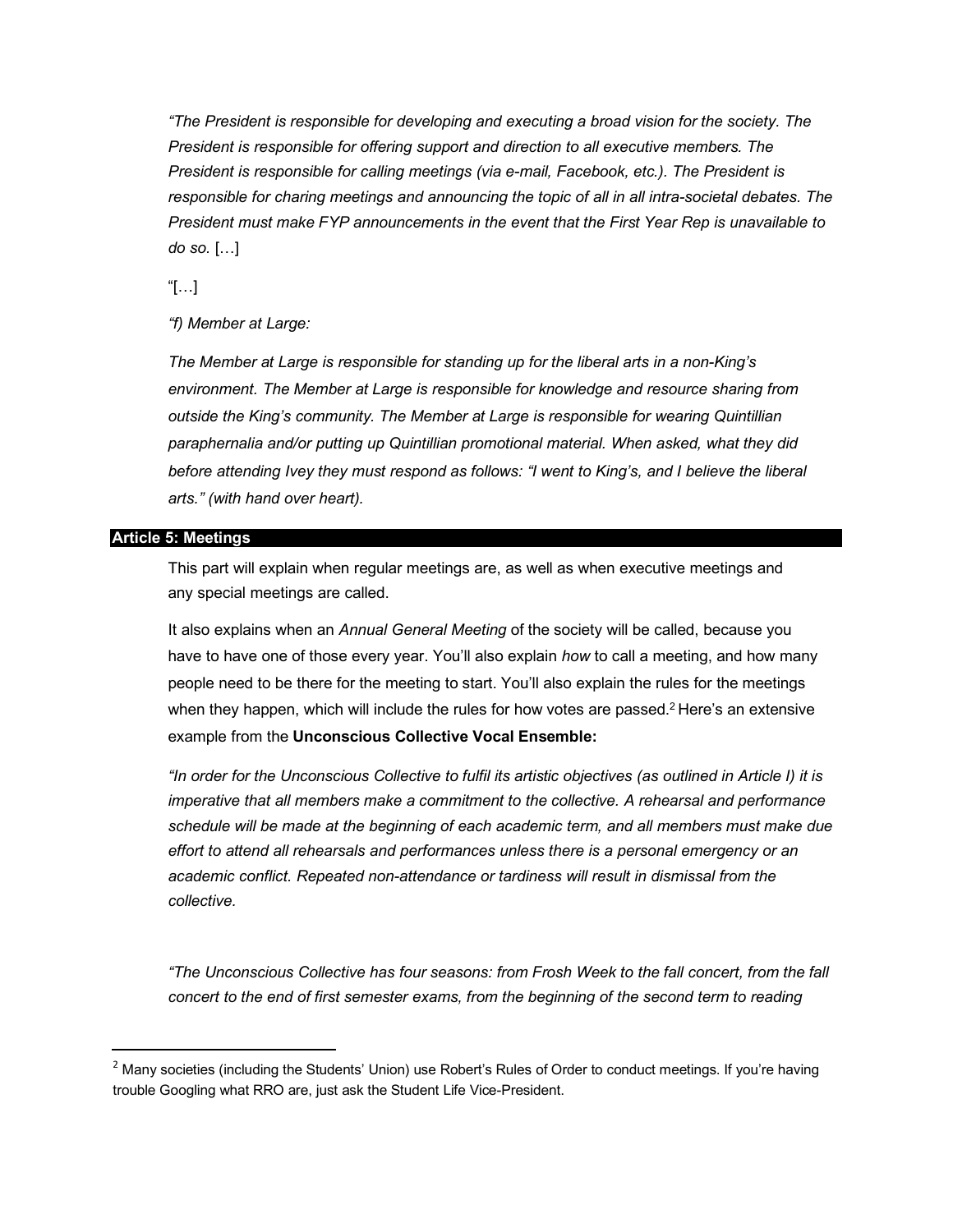*"The President is responsible for developing and executing a broad vision for the society. The President is responsible for offering support and direction to all executive members. The President is responsible for calling meetings (via e-mail, Facebook, etc.). The President is responsible for charing meetings and announcing the topic of all in all intra-societal debates. The President must make FYP announcements in the event that the First Year Rep is unavailable to do so.* […]

"[…]

*"f) Member at Large:*

*The Member at Large is responsible for standing up for the liberal arts in a non-King's environment. The Member at Large is responsible for knowledge and resource sharing from outside the King's community. The Member at Large is responsible for wearing Quintillian paraphernalia and/or putting up Quintillian promotional material. When asked, what they did*  before attending Ivey they must respond as follows: "I went to King's, and I believe the liberal *arts." (with hand over heart).*

#### **Article 5: Meetings**

This part will explain when regular meetings are, as well as when executive meetings and any special meetings are called.

It also explains when an *Annual General Meeting* of the society will be called, because you have to have one of those every year. You'll also explain *how* to call a meeting, and how many people need to be there for the meeting to start. You'll also explain the rules for the meetings when they happen, which will include the rules for how votes are passed.<sup>2</sup> Here's an extensive example from the **Unconscious Collective Vocal Ensemble:**

*"In order for the Unconscious Collective to fulfil its artistic objectives (as outlined in Article I) it is imperative that all members make a commitment to the collective. A rehearsal and performance schedule will be made at the beginning of each academic term, and all members must make due effort to attend all rehearsals and performances unless there is a personal emergency or an academic conflict. Repeated non-attendance or tardiness will result in dismissal from the collective.*

*"The Unconscious Collective has four seasons: from Frosh Week to the fall concert, from the fall concert to the end of first semester exams, from the beginning of the second term to reading* 

 $2$  Many societies (including the Students' Union) use Robert's Rules of Order to conduct meetings. If you're having trouble Googling what RRO are, just ask the Student Life Vice-President.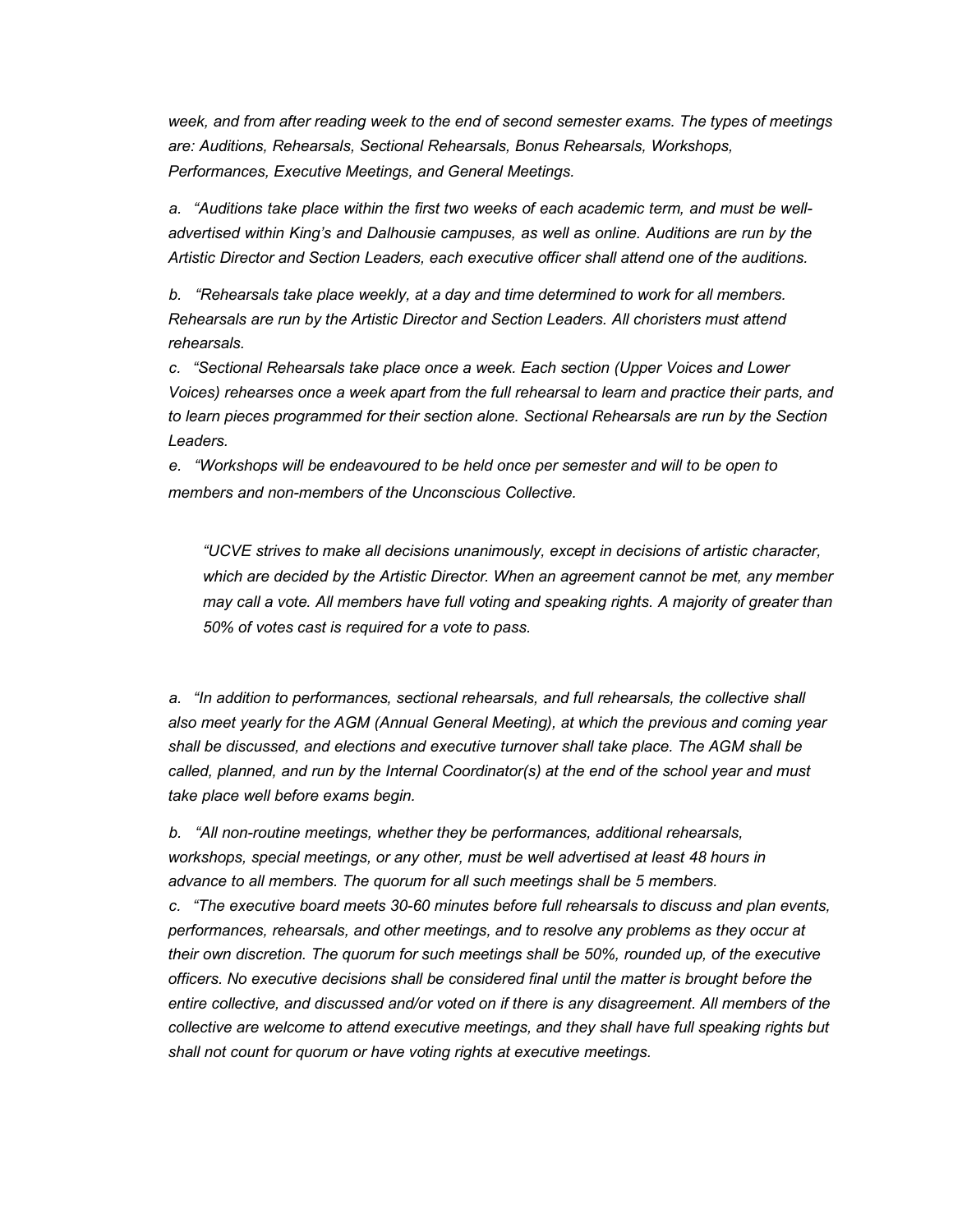*week, and from after reading week to the end of second semester exams. The types of meetings are: Auditions, Rehearsals, Sectional Rehearsals, Bonus Rehearsals, Workshops, Performances, Executive Meetings, and General Meetings.*

*a. "Auditions take place within the first two weeks of each academic term, and must be welladvertised within King's and Dalhousie campuses, as well as online. Auditions are run by the Artistic Director and Section Leaders, each executive officer shall attend one of the auditions.*

*b. "Rehearsals take place weekly, at a day and time determined to work for all members. Rehearsals are run by the Artistic Director and Section Leaders. All choristers must attend rehearsals.*

*c. "Sectional Rehearsals take place once a week. Each section (Upper Voices and Lower Voices) rehearses once a week apart from the full rehearsal to learn and practice their parts, and to learn pieces programmed for their section alone. Sectional Rehearsals are run by the Section Leaders.*

*e. "Workshops will be endeavoured to be held once per semester and will to be open to members and non-members of the Unconscious Collective.*

*"UCVE strives to make all decisions unanimously, except in decisions of artistic character, which are decided by the Artistic Director. When an agreement cannot be met, any member may call a vote. All members have full voting and speaking rights. A majority of greater than 50% of votes cast is required for a vote to pass.*

*a. "In addition to performances, sectional rehearsals, and full rehearsals, the collective shall also meet yearly for the AGM (Annual General Meeting), at which the previous and coming year shall be discussed, and elections and executive turnover shall take place. The AGM shall be called, planned, and run by the Internal Coordinator(s) at the end of the school year and must take place well before exams begin.*

*b. "All non-routine meetings, whether they be performances, additional rehearsals, workshops, special meetings, or any other, must be well advertised at least 48 hours in advance to all members. The quorum for all such meetings shall be 5 members.*

*c. "The executive board meets 30-60 minutes before full rehearsals to discuss and plan events, performances, rehearsals, and other meetings, and to resolve any problems as they occur at their own discretion. The quorum for such meetings shall be 50%, rounded up, of the executive officers. No executive decisions shall be considered final until the matter is brought before the entire collective, and discussed and/or voted on if there is any disagreement. All members of the collective are welcome to attend executive meetings, and they shall have full speaking rights but shall not count for quorum or have voting rights at executive meetings.*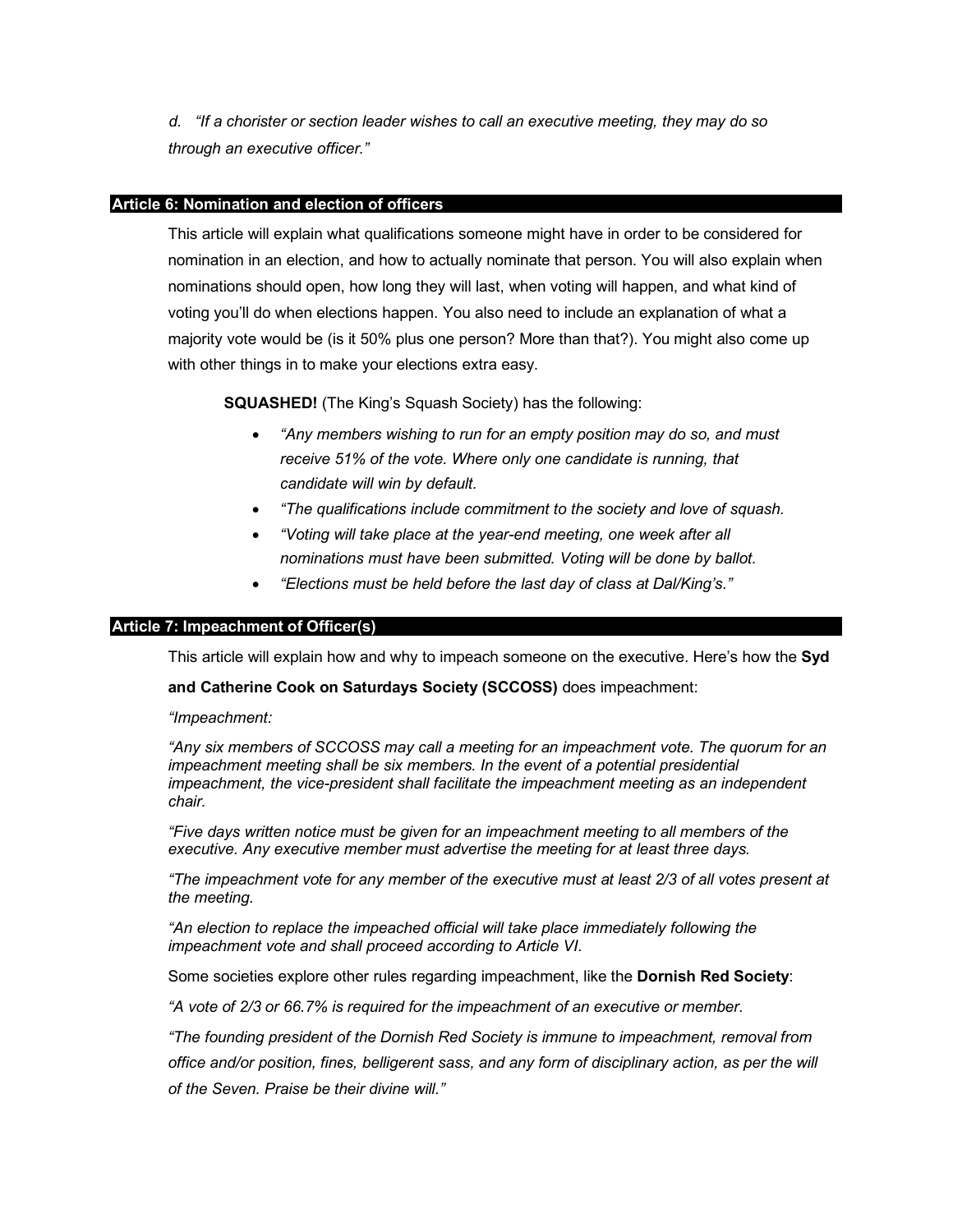*d. "If a chorister or section leader wishes to call an executive meeting, they may do so through an executive officer."*

# **Article 6: Nomination and election of officers**

This article will explain what qualifications someone might have in order to be considered for nomination in an election, and how to actually nominate that person. You will also explain when nominations should open, how long they will last, when voting will happen, and what kind of voting you'll do when elections happen. You also need to include an explanation of what a majority vote would be (is it 50% plus one person? More than that?). You might also come up with other things in to make your elections extra easy.

**SQUASHED!** (The King's Squash Society) has the following:

- *"Any members wishing to run for an empty position may do so, and must receive 51% of the vote. Where only one candidate is running, that candidate will win by default.*
- *"The qualifications include commitment to the society and love of squash.*
- *"Voting will take place at the year-end meeting, one week after all nominations must have been submitted. Voting will be done by ballot.*
- *"Elections must be held before the last day of class at Dal/King's."*

#### **Article 7: Impeachment of Officer(s)**

This article will explain how and why to impeach someone on the executive. Here's how the **Syd** 

**and Catherine Cook on Saturdays Society (SCCOSS)** does impeachment:

*"Impeachment:*

*"Any six members of SCCOSS may call a meeting for an impeachment vote. The quorum for an impeachment meeting shall be six members. In the event of a potential presidential impeachment, the vice-president shall facilitate the impeachment meeting as an independent chair.*

*"Five days written notice must be given for an impeachment meeting to all members of the executive. Any executive member must advertise the meeting for at least three days.*

*"The impeachment vote for any member of the executive must at least 2/3 of all votes present at the meeting.*

*"An election to replace the impeached official will take place immediately following the impeachment vote and shall proceed according to Article VI.*

Some societies explore other rules regarding impeachment, like the **Dornish Red Society**:

*"A vote of 2/3 or 66.7% is required for the impeachment of an executive or member.*

*"The founding president of the Dornish Red Society is immune to impeachment, removal from* 

*office and/or position, fines, belligerent sass, and any form of disciplinary action, as per the will of the Seven. Praise be their divine will."*